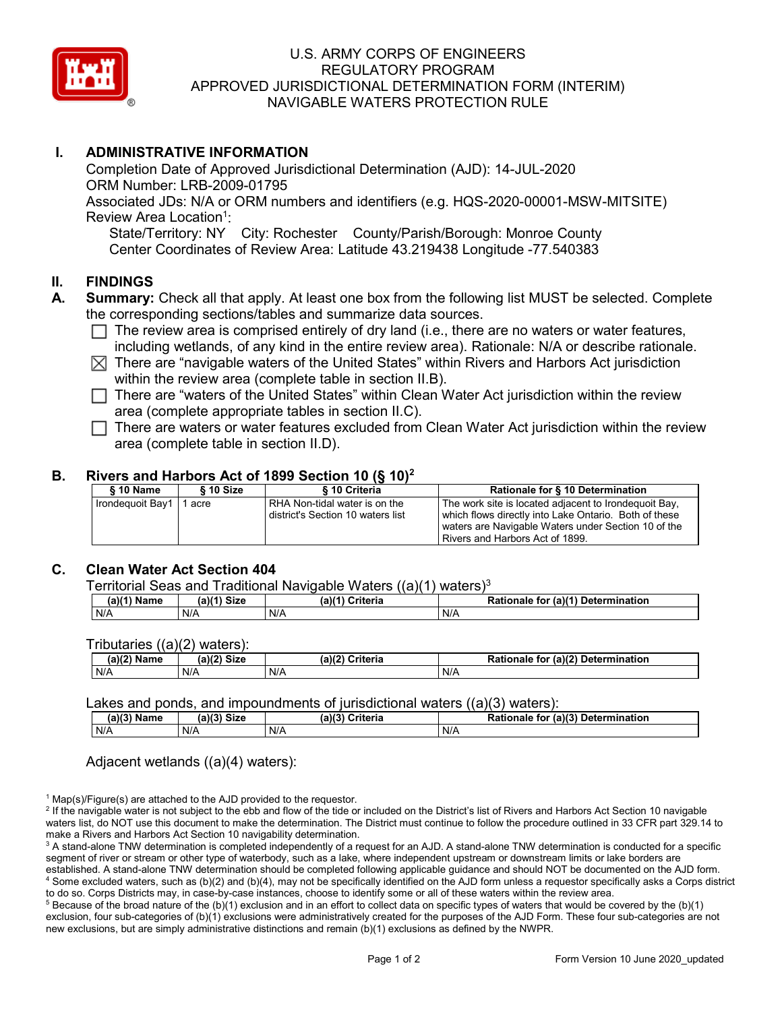

## U.S. ARMY CORPS OF ENGINEERS REGULATORY PROGRAM APPROVED JURISDICTIONAL DETERMINATION FORM (INTERIM) NAVIGABLE WATERS PROTECTION RULE

# **I. ADMINISTRATIVE INFORMATION**

Completion Date of Approved Jurisdictional Determination (AJD): 14-JUL-2020 ORM Number: LRB-2009-01795 Associated JDs: N/A or ORM numbers and identifiers (e.g. HQS-2020-00001-MSW-MITSITE) Review Area Location<sup>1</sup>: State/Territory: NY City: Rochester County/Parish/Borough: Monroe County

Center Coordinates of Review Area: Latitude 43.219438 Longitude -77.540383

## **II. FINDINGS**

- **A. Summary:** Check all that apply. At least one box from the following list MUST be selected. Complete the corresponding sections/tables and summarize data sources.
	- $\Box$  The review area is comprised entirely of dry land (i.e., there are no waters or water features, including wetlands, of any kind in the entire review area). Rationale: N/A or describe rationale.
	- $\boxtimes$  There are "navigable waters of the United States" within Rivers and Harbors Act jurisdiction within the review area (complete table in section II.B).
	- $\Box$  There are "waters of the United States" within Clean Water Act jurisdiction within the review area (complete appropriate tables in section II.C).
	- $\Box$  There are waters or water features excluded from Clean Water Act jurisdiction within the review area (complete table in section II.D).

### **B. Rivers and Harbors Act of 1899 Section 10 (§ 10)2**

| § 10 Name        | § 10 Size | § 10 Criteria                                                      | Rationale for § 10 Determination                                                                                                                                                                         |
|------------------|-----------|--------------------------------------------------------------------|----------------------------------------------------------------------------------------------------------------------------------------------------------------------------------------------------------|
| Irondequoit Bay1 | acre      | RHA Non-tidal water is on the<br>district's Section 10 waters list | The work site is located adjacent to Irondequoit Bay,<br>which flows directly into Lake Ontario. Both of these<br>waters are Navigable Waters under Section 10 of the<br>Rivers and Harbors Act of 1899. |

### **C. Clean Water Act Section 404**

| Territorial Seas and Traditional Navigable Waters ((a)(1) waters) <sup>3</sup> |  |
|--------------------------------------------------------------------------------|--|
|--------------------------------------------------------------------------------|--|

| (a)<br>Name | <b>Size</b><br>(a) $(1)$ | (a)( <sup>4*</sup><br>.<br>Criteria | . ۱۵)( <sup>4)</sup> ، ر<br>Determ.<br>ıination<br>for<br>Rationale |
|-------------|--------------------------|-------------------------------------|---------------------------------------------------------------------|
| N/A         | N/A                      | N/A                                 | N/A                                                                 |

Tributaries ((a)(2) waters):

| (a)(2)<br>Name | <b>Size</b><br>$\sim$ $\sim$<br>٦л. | (a)(2)<br>Criteria | (a)(2) Determination<br><b>Rationale</b><br>for |
|----------------|-------------------------------------|--------------------|-------------------------------------------------|
| N/A            | N/A                                 | N/A                | N/A                                             |

#### Lakes and ponds, and impoundments of jurisdictional waters ((a)(3) waters):

| (a)(3) Name | Size<br>(a)(3) | (a)(3)<br>Criteria | Rationale for (a)(3) Determination |
|-------------|----------------|--------------------|------------------------------------|
| N/A         | N/A            | N/A                | N/A                                |

Adjacent wetlands ((a)(4) waters):

 $1$  Map(s)/Figure(s) are attached to the AJD provided to the requestor.

<sup>2</sup> If the navigable water is not subject to the ebb and flow of the tide or included on the District's list of Rivers and Harbors Act Section 10 navigable waters list, do NOT use this document to make the determination. The District must continue to follow the procedure outlined in 33 CFR part 329.14 to make a Rivers and Harbors Act Section 10 navigability determination.

<sup>3</sup> A stand-alone TNW determination is completed independently of a request for an AJD. A stand-alone TNW determination is conducted for a specific segment of river or stream or other type of waterbody, such as a lake, where independent upstream or downstream limits or lake borders are established. A stand-alone TNW determination should be completed following applicable guidance and should NOT be documented on the AJD form. <sup>4</sup> Some excluded waters, such as (b)(2) and (b)(4), may not be specifically identified on the AJD form unless a requestor specifically asks a Corps district to do so. Corps Districts may, in case-by-case instances, choose to identify some or all of these waters within the review area.

 $5$  Because of the broad nature of the (b)(1) exclusion and in an effort to collect data on specific types of waters that would be covered by the (b)(1) exclusion, four sub-categories of (b)(1) exclusions were administratively created for the purposes of the AJD Form. These four sub-categories are not new exclusions, but are simply administrative distinctions and remain (b)(1) exclusions as defined by the NWPR.